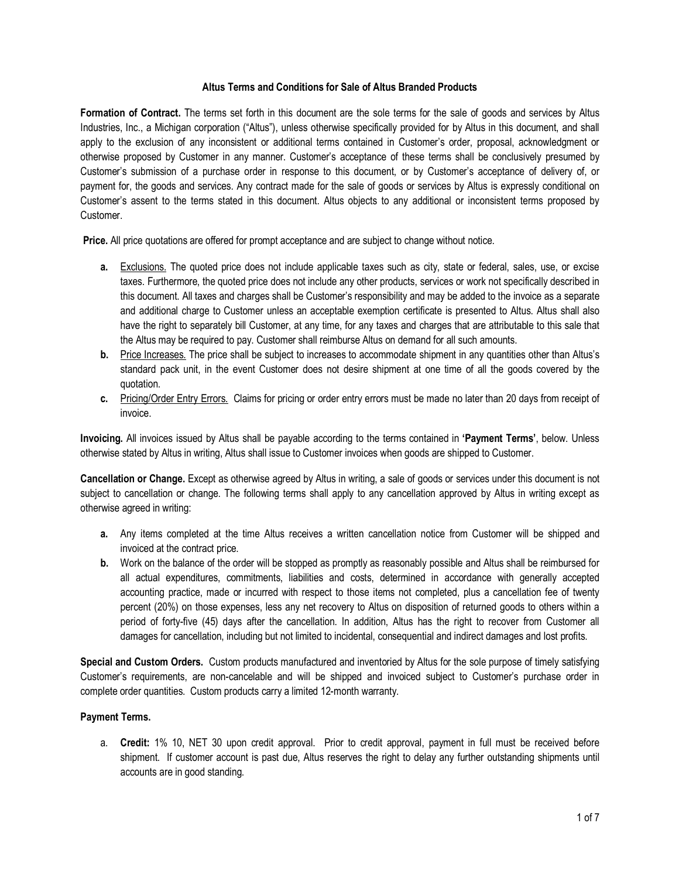## **Altus Terms and Conditions for Sale of Altus Branded Products**

**Formation of Contract.** The terms set forth in this document are the sole terms for the sale of goods and services by Altus Industries, Inc., a Michigan corporation ("Altus"), unless otherwise specifically provided for by Altus in this document, and shall apply to the exclusion of any inconsistent or additional terms contained in Customer's order, proposal, acknowledgment or otherwise proposed by Customer in any manner. Customer's acceptance of these terms shall be conclusively presumed by Customer's submission of a purchase order in response to this document, or by Customer's acceptance of delivery of, or payment for, the goods and services. Any contract made for the sale of goods or services by Altus is expressly conditional on Customer's assent to the terms stated in this document. Altus objects to any additional or inconsistent terms proposed by Customer.

**Price.** All price quotations are offered for prompt acceptance and are subject to change without notice.

- **a.** Exclusions. The quoted price does not include applicable taxes such as city, state or federal, sales, use, or excise taxes. Furthermore, the quoted price does not include any other products, services or work not specifically described in this document. All taxes and charges shall be Customer's responsibility and may be added to the invoice as a separate and additional charge to Customer unless an acceptable exemption certificate is presented to Altus. Altus shall also have the right to separately bill Customer, at any time, for any taxes and charges that are attributable to this sale that the Altus may be required to pay. Customer shall reimburse Altus on demand for all such amounts.
- **b.** Price Increases. The price shall be subject to increases to accommodate shipment in any quantities other than Altus's standard pack unit, in the event Customer does not desire shipment at one time of all the goods covered by the quotation.
- **c.** Pricing/Order Entry Errors.Claims for pricing or order entry errors must be made no later than 20 days from receipt of invoice.

**Invoicing.** All invoices issued by Altus shall be payable according to the terms contained in **'Payment Terms'**, below. Unless otherwise stated by Altus in writing, Altus shall issue to Customer invoices when goods are shipped to Customer.

**Cancellation or Change.** Except as otherwise agreed by Altus in writing, a sale of goods or services under this document is not subject to cancellation or change. The following terms shall apply to any cancellation approved by Altus in writing except as otherwise agreed in writing:

- **a.** Any items completed at the time Altus receives a written cancellation notice from Customer will be shipped and invoiced at the contract price.
- **b.** Work on the balance of the order will be stopped as promptly as reasonably possible and Altus shall be reimbursed for all actual expenditures, commitments, liabilities and costs, determined in accordance with generally accepted accounting practice, made or incurred with respect to those items not completed, plus a cancellation fee of twenty percent (20%) on those expenses, less any net recovery to Altus on disposition of returned goods to others within a period of forty-five (45) days after the cancellation. In addition, Altus has the right to recover from Customer all damages for cancellation, including but not limited to incidental, consequential and indirect damages and lost profits.

**Special and Custom Orders.** Custom products manufactured and inventoried by Altus for the sole purpose of timely satisfying Customer's requirements, are non-cancelable and will be shipped and invoiced subject to Customer's purchase order in complete order quantities. Custom products carry a limited 12-month warranty.

## **Payment Terms.**

a. **Credit:** 1% 10, NET 30 upon credit approval. Prior to credit approval, payment in full must be received before shipment. If customer account is past due, Altus reserves the right to delay any further outstanding shipments until accounts are in good standing.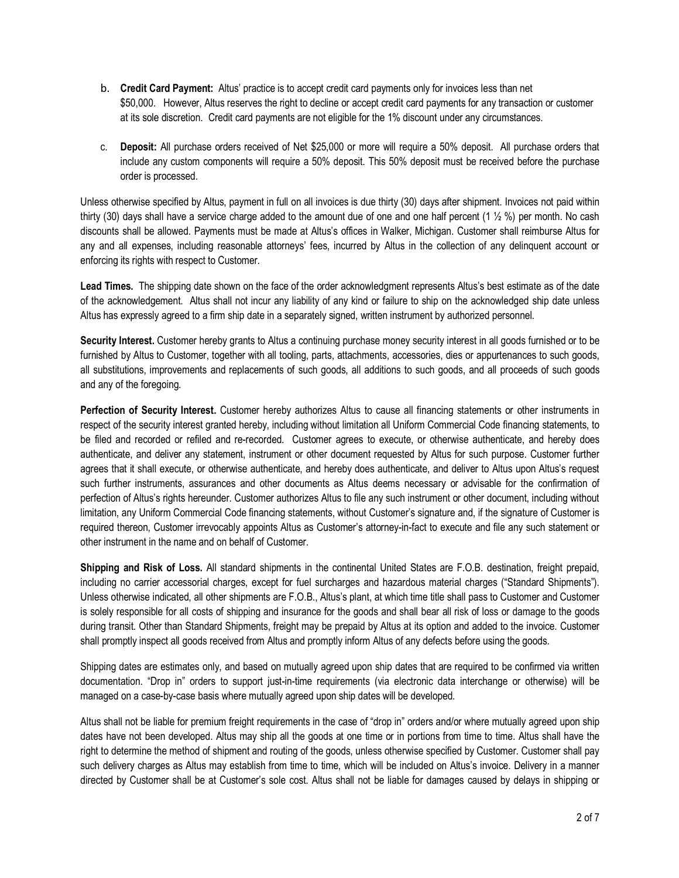- b. **Credit Card Payment:** Altus' practice is to accept credit card payments only for invoices less than net \$50,000. However, Altus reserves the right to decline or accept credit card payments for any transaction or customer at its sole discretion. Credit card payments are not eligible for the 1% discount under any circumstances.
- c. **Deposit:** All purchase orders received of Net \$25,000 or more will require a 50% deposit. All purchase orders that include any custom components will require a 50% deposit. This 50% deposit must be received before the purchase order is processed.

Unless otherwise specified by Altus, payment in full on all invoices is due thirty (30) days after shipment. Invoices not paid within thirty (30) days shall have a service charge added to the amount due of one and one half percent (1  $\frac{1}{2}$ %) per month. No cash discounts shall be allowed. Payments must be made at Altus's offices in Walker, Michigan. Customer shall reimburse Altus for any and all expenses, including reasonable attorneys' fees, incurred by Altus in the collection of any delinquent account or enforcing its rights with respect to Customer.

**Lead Times.** The shipping date shown on the face of the order acknowledgment represents Altus's best estimate as of the date of the acknowledgement. Altus shall not incur any liability of any kind or failure to ship on the acknowledged ship date unless Altus has expressly agreed to a firm ship date in a separately signed, written instrument by authorized personnel.

**Security Interest.** Customer hereby grants to Altus a continuing purchase money security interest in all goods furnished or to be furnished by Altus to Customer, together with all tooling, parts, attachments, accessories, dies or appurtenances to such goods, all substitutions, improvements and replacements of such goods, all additions to such goods, and all proceeds of such goods and any of the foregoing.

**Perfection of Security Interest.** Customer hereby authorizes Altus to cause all financing statements or other instruments in respect of the security interest granted hereby, including without limitation all Uniform Commercial Code financing statements, to be filed and recorded or refiled and re-recorded. Customer agrees to execute, or otherwise authenticate, and hereby does authenticate, and deliver any statement, instrument or other document requested by Altus for such purpose. Customer further agrees that it shall execute, or otherwise authenticate, and hereby does authenticate, and deliver to Altus upon Altus's request such further instruments, assurances and other documents as Altus deems necessary or advisable for the confirmation of perfection of Altus's rights hereunder. Customer authorizes Altus to file any such instrument or other document, including without limitation, any Uniform Commercial Code financing statements, without Customer's signature and, if the signature of Customer is required thereon, Customer irrevocably appoints Altus as Customer's attorney-in-fact to execute and file any such statement or other instrument in the name and on behalf of Customer.

**Shipping and Risk of Loss.** All standard shipments in the continental United States are F.O.B. destination, freight prepaid, including no carrier accessorial charges, except for fuel surcharges and hazardous material charges ("Standard Shipments"). Unless otherwise indicated, all other shipments are F.O.B., Altus's plant, at which time title shall pass to Customer and Customer is solely responsible for all costs of shipping and insurance for the goods and shall bear all risk of loss or damage to the goods during transit. Other than Standard Shipments, freight may be prepaid by Altus at its option and added to the invoice. Customer shall promptly inspect all goods received from Altus and promptly inform Altus of any defects before using the goods.

Shipping dates are estimates only, and based on mutually agreed upon ship dates that are required to be confirmed via written documentation. "Drop in" orders to support just-in-time requirements (via electronic data interchange or otherwise) will be managed on a case-by-case basis where mutually agreed upon ship dates will be developed.

Altus shall not be liable for premium freight requirements in the case of "drop in" orders and/or where mutually agreed upon ship dates have not been developed. Altus may ship all the goods at one time or in portions from time to time. Altus shall have the right to determine the method of shipment and routing of the goods, unless otherwise specified by Customer. Customer shall pay such delivery charges as Altus may establish from time to time, which will be included on Altus's invoice. Delivery in a manner directed by Customer shall be at Customer's sole cost. Altus shall not be liable for damages caused by delays in shipping or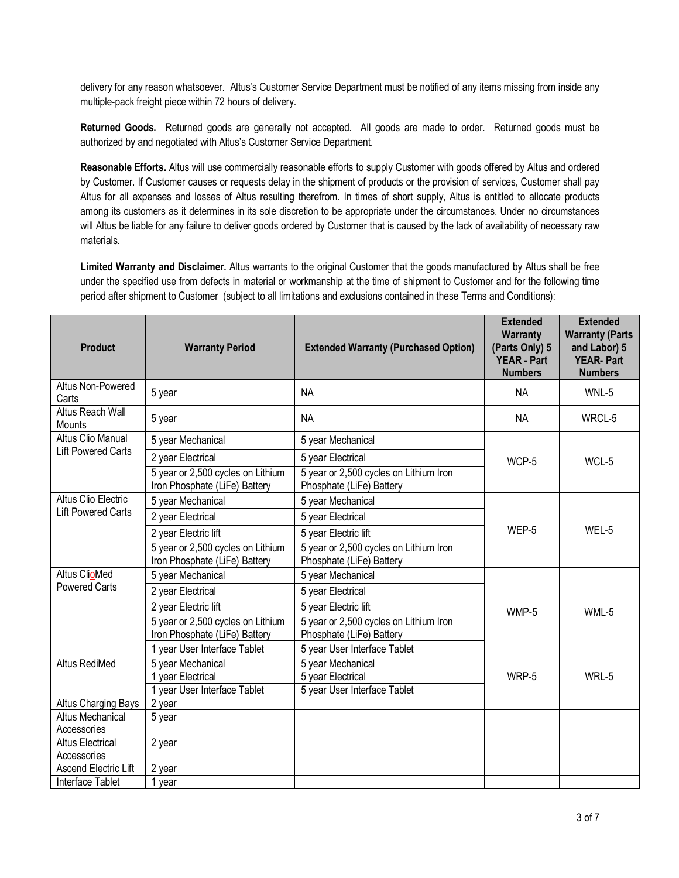delivery for any reason whatsoever. Altus's Customer Service Department must be notified of any items missing from inside any multiple-pack freight piece within 72 hours of delivery.

**Returned Goods.** Returned goods are generally not accepted. All goods are made to order. Returned goods must be authorized by and negotiated with Altus's Customer Service Department.

**Reasonable Efforts.** Altus will use commercially reasonable efforts to supply Customer with goods offered by Altus and ordered by Customer. If Customer causes or requests delay in the shipment of products or the provision of services, Customer shall pay Altus for all expenses and losses of Altus resulting therefrom. In times of short supply, Altus is entitled to allocate products among its customers as it determines in its sole discretion to be appropriate under the circumstances. Under no circumstances will Altus be liable for any failure to deliver goods ordered by Customer that is caused by the lack of availability of necessary raw materials.

**Limited Warranty and Disclaimer.** Altus warrants to the original Customer that the goods manufactured by Altus shall be free under the specified use from defects in material or workmanship at the time of shipment to Customer and for the following time period after shipment to Customer (subject to all limitations and exclusions contained in these Terms and Conditions):

| <b>Product</b>                                          | <b>Warranty Period</b>                                             | <b>Extended Warranty (Purchased Option)</b>                        | <b>Extended</b><br>Warranty<br>(Parts Only) 5<br><b>YEAR - Part</b><br><b>Numbers</b> | <b>Extended</b><br><b>Warranty (Parts</b><br>and Labor) 5<br><b>YEAR-Part</b><br><b>Numbers</b> |
|---------------------------------------------------------|--------------------------------------------------------------------|--------------------------------------------------------------------|---------------------------------------------------------------------------------------|-------------------------------------------------------------------------------------------------|
| Altus Non-Powered<br>Carts                              | 5 year                                                             | <b>NA</b>                                                          | ΝA                                                                                    | WNL-5                                                                                           |
| Altus Reach Wall<br>Mounts                              | 5 year                                                             | <b>NA</b>                                                          | <b>NA</b>                                                                             | WRCL-5                                                                                          |
| <b>Altus Clio Manual</b><br><b>Lift Powered Carts</b>   | 5 year Mechanical                                                  | 5 year Mechanical                                                  | WCP-5                                                                                 | WCL-5                                                                                           |
|                                                         | 2 year Electrical                                                  | 5 year Electrical                                                  |                                                                                       |                                                                                                 |
|                                                         | 5 year or 2,500 cycles on Lithium<br>Iron Phosphate (LiFe) Battery | 5 year or 2,500 cycles on Lithium Iron<br>Phosphate (LiFe) Battery |                                                                                       |                                                                                                 |
| <b>Altus Clio Electric</b><br><b>Lift Powered Carts</b> | 5 year Mechanical                                                  | 5 year Mechanical                                                  | WEP-5                                                                                 | WEL-5                                                                                           |
|                                                         | 2 year Electrical                                                  | 5 year Electrical                                                  |                                                                                       |                                                                                                 |
|                                                         | 2 year Electric lift                                               | 5 year Electric lift                                               |                                                                                       |                                                                                                 |
|                                                         | 5 year or 2,500 cycles on Lithium<br>Iron Phosphate (LiFe) Battery | 5 year or 2,500 cycles on Lithium Iron<br>Phosphate (LiFe) Battery |                                                                                       |                                                                                                 |
| <b>Altus ClioMed</b><br><b>Powered Carts</b>            | 5 year Mechanical                                                  | 5 year Mechanical                                                  | WMP-5                                                                                 | WML-5                                                                                           |
|                                                         | 2 year Electrical                                                  | 5 year Electrical                                                  |                                                                                       |                                                                                                 |
|                                                         | 2 year Electric lift                                               | 5 year Electric lift                                               |                                                                                       |                                                                                                 |
|                                                         | 5 year or 2,500 cycles on Lithium<br>Iron Phosphate (LiFe) Battery | 5 year or 2,500 cycles on Lithium Iron<br>Phosphate (LiFe) Battery |                                                                                       |                                                                                                 |
|                                                         | 1 year User Interface Tablet                                       | 5 year User Interface Tablet                                       |                                                                                       |                                                                                                 |
| <b>Altus RediMed</b>                                    | 5 year Mechanical                                                  | 5 year Mechanical                                                  | WRP-5                                                                                 | WRL-5                                                                                           |
|                                                         | 1 year Electrical                                                  | 5 year Electrical                                                  |                                                                                       |                                                                                                 |
|                                                         | 1 year User Interface Tablet                                       | 5 year User Interface Tablet                                       |                                                                                       |                                                                                                 |
| Altus Charging Bays                                     | 2 year                                                             |                                                                    |                                                                                       |                                                                                                 |
| <b>Altus Mechanical</b><br>Accessories                  | 5 year                                                             |                                                                    |                                                                                       |                                                                                                 |
| <b>Altus Electrical</b>                                 | 2 year                                                             |                                                                    |                                                                                       |                                                                                                 |
| Accessories                                             |                                                                    |                                                                    |                                                                                       |                                                                                                 |
| Ascend Electric Lift                                    | 2 year                                                             |                                                                    |                                                                                       |                                                                                                 |
| Interface Tablet                                        | 1 year                                                             |                                                                    |                                                                                       |                                                                                                 |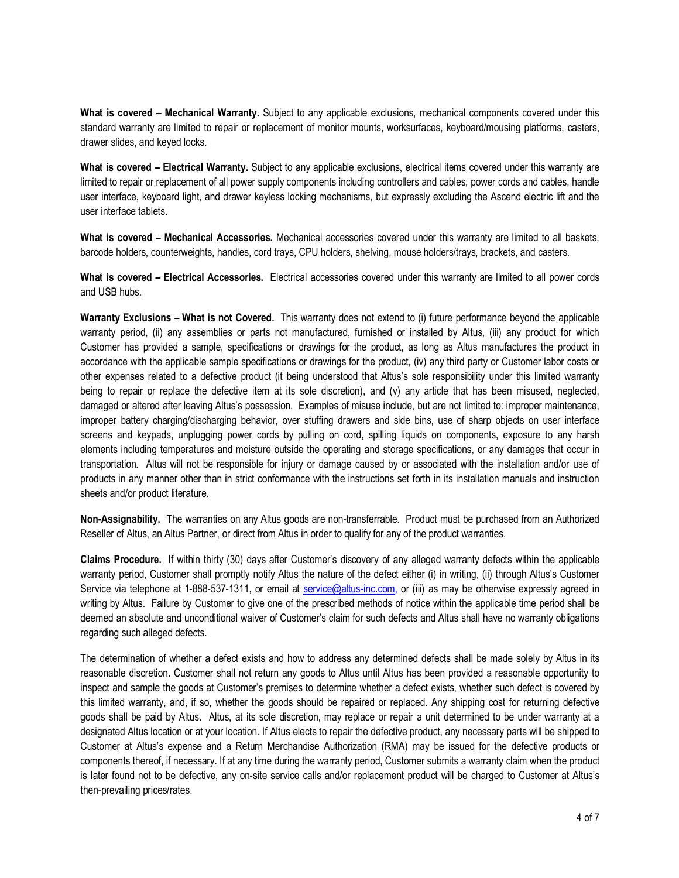**What is covered – Mechanical Warranty.** Subject to any applicable exclusions, mechanical components covered under this standard warranty are limited to repair or replacement of monitor mounts, worksurfaces, keyboard/mousing platforms, casters, drawer slides, and keyed locks.

**What is covered – Electrical Warranty.** Subject to any applicable exclusions, electrical items covered under this warranty are limited to repair or replacement of all power supply components including controllers and cables, power cords and cables, handle user interface, keyboard light, and drawer keyless locking mechanisms, but expressly excluding the Ascend electric lift and the user interface tablets.

**What is covered – Mechanical Accessories.** Mechanical accessories covered under this warranty are limited to all baskets, barcode holders, counterweights, handles, cord trays, CPU holders, shelving, mouse holders/trays, brackets, and casters.

**What is covered – Electrical Accessories.** Electrical accessories covered under this warranty are limited to all power cords and USB hubs.

**Warranty Exclusions – What is not Covered.** This warranty does not extend to (i) future performance beyond the applicable warranty period, (ii) any assemblies or parts not manufactured, furnished or installed by Altus, (iii) any product for which Customer has provided a sample, specifications or drawings for the product, as long as Altus manufactures the product in accordance with the applicable sample specifications or drawings for the product, (iv) any third party or Customer labor costs or other expenses related to a defective product (it being understood that Altus's sole responsibility under this limited warranty being to repair or replace the defective item at its sole discretion), and (v) any article that has been misused, neglected, damaged or altered after leaving Altus's possession. Examples of misuse include, but are not limited to: improper maintenance, improper battery charging/discharging behavior, over stuffing drawers and side bins, use of sharp objects on user interface screens and keypads, unplugging power cords by pulling on cord, spilling liquids on components, exposure to any harsh elements including temperatures and moisture outside the operating and storage specifications, or any damages that occur in transportation. Altus will not be responsible for injury or damage caused by or associated with the installation and/or use of products in any manner other than in strict conformance with the instructions set forth in its installation manuals and instruction sheets and/or product literature.

**Non-Assignability.** The warranties on any Altus goods are non-transferrable. Product must be purchased from an Authorized Reseller of Altus, an Altus Partner, or direct from Altus in order to qualify for any of the product warranties.

**Claims Procedure.** If within thirty (30) days after Customer's discovery of any alleged warranty defects within the applicable warranty period, Customer shall promptly notify Altus the nature of the defect either (i) in writing, (ii) through Altus's Customer Service via telephone at 1-888-537-1311, or email at service@altus-inc.com, or (iii) as may be otherwise expressly agreed in writing by Altus. Failure by Customer to give one of the prescribed methods of notice within the applicable time period shall be deemed an absolute and unconditional waiver of Customer's claim for such defects and Altus shall have no warranty obligations regarding such alleged defects.

The determination of whether a defect exists and how to address any determined defects shall be made solely by Altus in its reasonable discretion. Customer shall not return any goods to Altus until Altus has been provided a reasonable opportunity to inspect and sample the goods at Customer's premises to determine whether a defect exists, whether such defect is covered by this limited warranty, and, if so, whether the goods should be repaired or replaced. Any shipping cost for returning defective goods shall be paid by Altus. Altus, at its sole discretion, may replace or repair a unit determined to be under warranty at a designated Altus location or at your location. If Altus elects to repair the defective product, any necessary parts will be shipped to Customer at Altus's expense and a Return Merchandise Authorization (RMA) may be issued for the defective products or components thereof, if necessary. If at any time during the warranty period, Customer submits a warranty claim when the product is later found not to be defective, any on-site service calls and/or replacement product will be charged to Customer at Altus's then-prevailing prices/rates.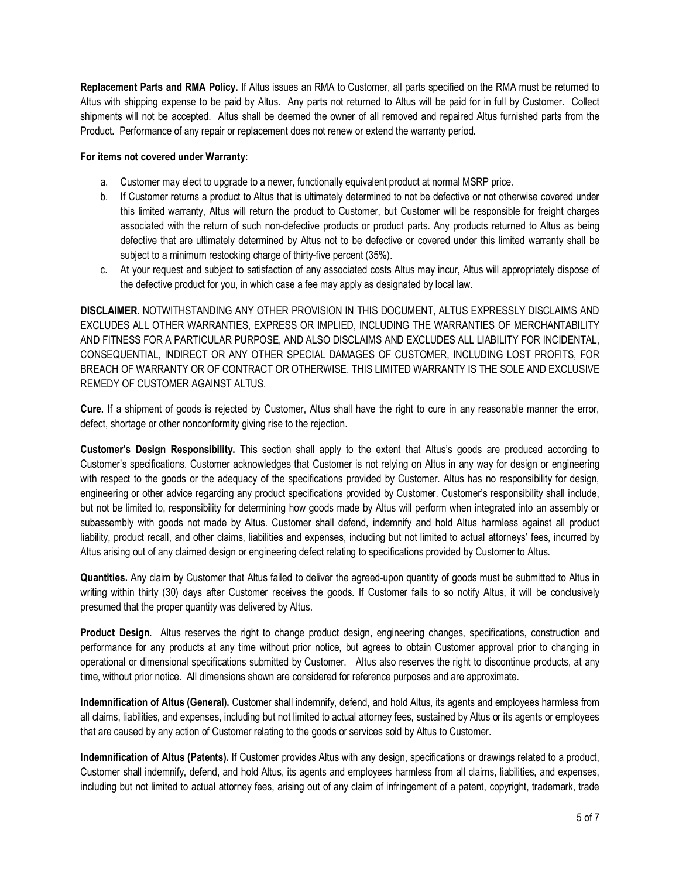**Replacement Parts and RMA Policy.** If Altus issues an RMA to Customer, all parts specified on the RMA must be returned to Altus with shipping expense to be paid by Altus. Any parts not returned to Altus will be paid for in full by Customer. Collect shipments will not be accepted. Altus shall be deemed the owner of all removed and repaired Altus furnished parts from the Product. Performance of any repair or replacement does not renew or extend the warranty period.

## **For items not covered under Warranty:**

- a. Customer may elect to upgrade to a newer, functionally equivalent product at normal MSRP price.
- b. If Customer returns a product to Altus that is ultimately determined to not be defective or not otherwise covered under this limited warranty, Altus will return the product to Customer, but Customer will be responsible for freight charges associated with the return of such non-defective products or product parts. Any products returned to Altus as being defective that are ultimately determined by Altus not to be defective or covered under this limited warranty shall be subject to a minimum restocking charge of thirty-five percent (35%).
- c. At your request and subject to satisfaction of any associated costs Altus may incur, Altus will appropriately dispose of the defective product for you, in which case a fee may apply as designated by local law.

**DISCLAIMER.** NOTWITHSTANDING ANY OTHER PROVISION IN THIS DOCUMENT, ALTUS EXPRESSLY DISCLAIMS AND EXCLUDES ALL OTHER WARRANTIES, EXPRESS OR IMPLIED, INCLUDING THE WARRANTIES OF MERCHANTABILITY AND FITNESS FOR A PARTICULAR PURPOSE, AND ALSO DISCLAIMS AND EXCLUDES ALL LIABILITY FOR INCIDENTAL, CONSEQUENTIAL, INDIRECT OR ANY OTHER SPECIAL DAMAGES OF CUSTOMER, INCLUDING LOST PROFITS, FOR BREACH OF WARRANTY OR OF CONTRACT OR OTHERWISE. THIS LIMITED WARRANTY IS THE SOLE AND EXCLUSIVE REMEDY OF CUSTOMER AGAINST ALTUS.

**Cure.** If a shipment of goods is rejected by Customer, Altus shall have the right to cure in any reasonable manner the error, defect, shortage or other nonconformity giving rise to the rejection.

**Customer's Design Responsibility.** This section shall apply to the extent that Altus's goods are produced according to Customer's specifications. Customer acknowledges that Customer is not relying on Altus in any way for design or engineering with respect to the goods or the adequacy of the specifications provided by Customer. Altus has no responsibility for design, engineering or other advice regarding any product specifications provided by Customer. Customer's responsibility shall include, but not be limited to, responsibility for determining how goods made by Altus will perform when integrated into an assembly or subassembly with goods not made by Altus. Customer shall defend, indemnify and hold Altus harmless against all product liability, product recall, and other claims, liabilities and expenses, including but not limited to actual attorneys' fees, incurred by Altus arising out of any claimed design or engineering defect relating to specifications provided by Customer to Altus.

**Quantities.** Any claim by Customer that Altus failed to deliver the agreed-upon quantity of goods must be submitted to Altus in writing within thirty (30) days after Customer receives the goods. If Customer fails to so notify Altus, it will be conclusively presumed that the proper quantity was delivered by Altus.

**Product Design.** Altus reserves the right to change product design, engineering changes, specifications, construction and performance for any products at any time without prior notice, but agrees to obtain Customer approval prior to changing in operational or dimensional specifications submitted by Customer. Altus also reserves the right to discontinue products, at any time, without prior notice. All dimensions shown are considered for reference purposes and are approximate.

**Indemnification of Altus (General).** Customer shall indemnify, defend, and hold Altus, its agents and employees harmless from all claims, liabilities, and expenses, including but not limited to actual attorney fees, sustained by Altus or its agents or employees that are caused by any action of Customer relating to the goods or services sold by Altus to Customer.

**Indemnification of Altus (Patents).** If Customer provides Altus with any design, specifications or drawings related to a product, Customer shall indemnify, defend, and hold Altus, its agents and employees harmless from all claims, liabilities, and expenses, including but not limited to actual attorney fees, arising out of any claim of infringement of a patent, copyright, trademark, trade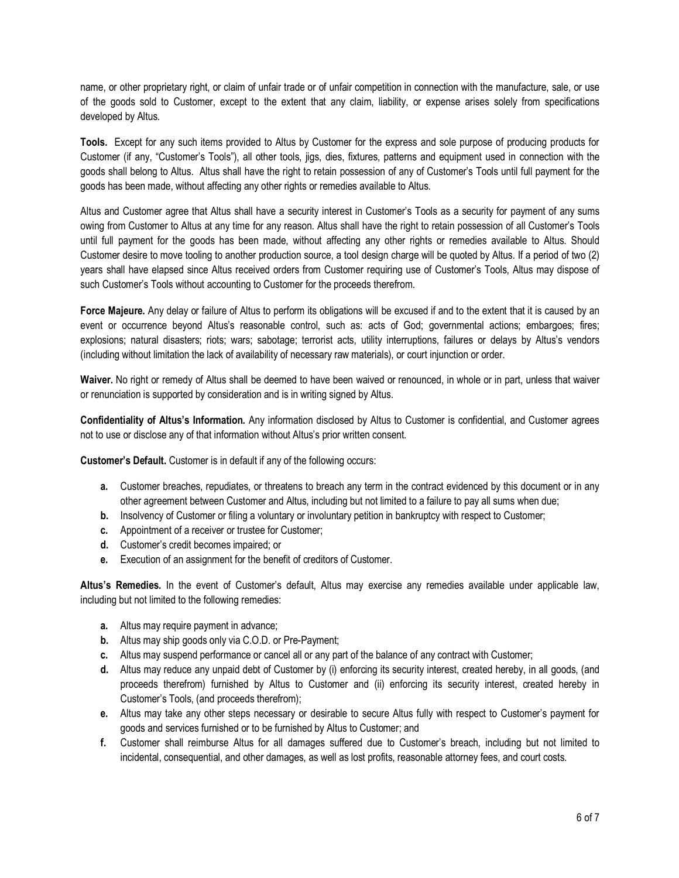name, or other proprietary right, or claim of unfair trade or of unfair competition in connection with the manufacture, sale, or use of the goods sold to Customer, except to the extent that any claim, liability, or expense arises solely from specifications developed by Altus.

**Tools.** Except for any such items provided to Altus by Customer for the express and sole purpose of producing products for Customer (if any, "Customer's Tools"), all other tools, jigs, dies, fixtures, patterns and equipment used in connection with the goods shall belong to Altus. Altus shall have the right to retain possession of any of Customer's Tools until full payment for the goods has been made, without affecting any other rights or remedies available to Altus.

Altus and Customer agree that Altus shall have a security interest in Customer's Tools as a security for payment of any sums owing from Customer to Altus at any time for any reason. Altus shall have the right to retain possession of all Customer's Tools until full payment for the goods has been made, without affecting any other rights or remedies available to Altus. Should Customer desire to move tooling to another production source, a tool design charge will be quoted by Altus. If a period of two (2) years shall have elapsed since Altus received orders from Customer requiring use of Customer's Tools, Altus may dispose of such Customer's Tools without accounting to Customer for the proceeds therefrom.

**Force Majeure.** Any delay or failure of Altus to perform its obligations will be excused if and to the extent that it is caused by an event or occurrence beyond Altus's reasonable control, such as: acts of God; governmental actions; embargoes; fires; explosions; natural disasters; riots; wars; sabotage; terrorist acts, utility interruptions, failures or delays by Altus's vendors (including without limitation the lack of availability of necessary raw materials), or court injunction or order.

**Waiver.** No right or remedy of Altus shall be deemed to have been waived or renounced, in whole or in part, unless that waiver or renunciation is supported by consideration and is in writing signed by Altus.

**Confidentiality of Altus's Information.** Any information disclosed by Altus to Customer is confidential, and Customer agrees not to use or disclose any of that information without Altus's prior written consent.

**Customer's Default.** Customer is in default if any of the following occurs:

- **a.** Customer breaches, repudiates, or threatens to breach any term in the contract evidenced by this document or in any other agreement between Customer and Altus, including but not limited to a failure to pay all sums when due;
- **b.** Insolvency of Customer or filing a voluntary or involuntary petition in bankruptcy with respect to Customer;
- **c.** Appointment of a receiver or trustee for Customer;
- **d.** Customer's credit becomes impaired; or
- **e.** Execution of an assignment for the benefit of creditors of Customer.

**Altus's Remedies.** In the event of Customer's default, Altus may exercise any remedies available under applicable law, including but not limited to the following remedies:

- **a.** Altus may require payment in advance;
- **b.** Altus may ship goods only via C.O.D. or Pre-Payment;
- **c.** Altus may suspend performance or cancel all or any part of the balance of any contract with Customer;
- **d.** Altus may reduce any unpaid debt of Customer by (i) enforcing its security interest, created hereby, in all goods, (and proceeds therefrom) furnished by Altus to Customer and (ii) enforcing its security interest, created hereby in Customer's Tools, (and proceeds therefrom);
- **e.** Altus may take any other steps necessary or desirable to secure Altus fully with respect to Customer's payment for goods and services furnished or to be furnished by Altus to Customer; and
- **f.** Customer shall reimburse Altus for all damages suffered due to Customer's breach, including but not limited to incidental, consequential, and other damages, as well as lost profits, reasonable attorney fees, and court costs.